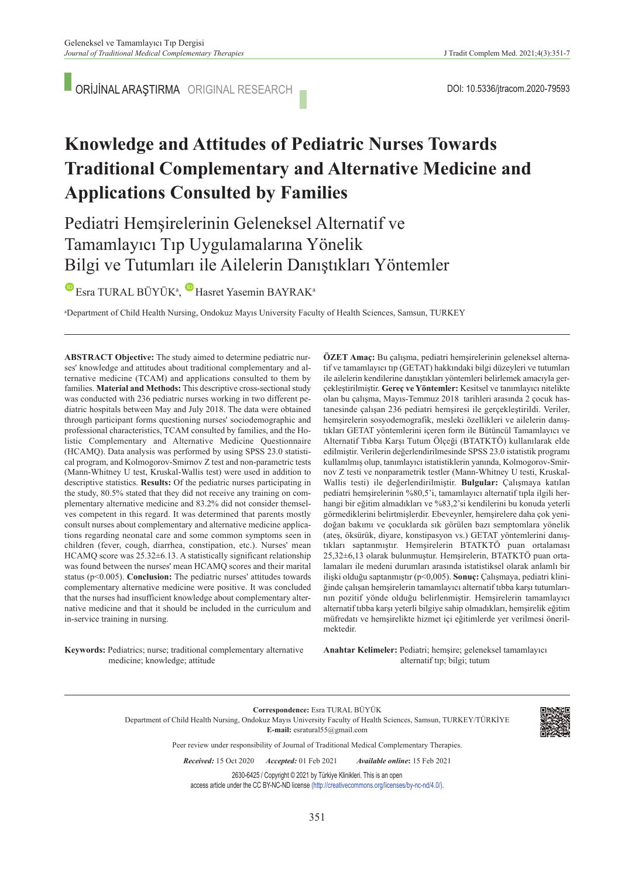ORİJİNAL ARAŞTIRMA ORIGINAL RESEARCH

# **Knowledge and Attitudes of Pediatric Nurses Towards Traditional Complementary and Alternative Medicine and Applications Consulted by Families**

# Pediatri Hemşirelerinin Geleneksel Alternatif ve Tamamlayıcı Tıp Uygulamalarına Yönelik Bilgi ve Tutumları ile Ailelerin Danıştıkları Yöntemler

EsraTURAL BÜYÜK<sup>a</sup>, Hasret Yasemin BAYRAK<sup>a</sup>

a Department of Child Health Nursing, Ondokuz Mayıs University Faculty of Health Sciences, Samsun, TURKEY

**ABS TRACT Objective:** The study aimed to determine pediatric nurses' knowledge and attitudes about traditional complementary and alternative medicine (TCAM) and applications consulted to them by families. **Material and Methods:** This descriptive cross-sectional study was conducted with 236 pediatric nurses working in two different pediatric hospitals between May and July 2018. The data were obtained through participant forms questioning nurses' sociodemographic and professional characteristics, TCAM consulted by families, and the Holistic Complementary and Alternative Medicine Questionnaire (HCAMQ). Data analysis was performed by using SPSS 23.0 statistical program, and Kolmogorov-Smirnov Z test and non-parametric tests (Mann-Whitney U test, Kruskal-Wallis test) were used in addition to descriptive statistics. **Results:** Of the pediatric nurses participating in the study, 80.5% stated that they did not receive any training on complementary alternative medicine and 83.2% did not consider themselves competent in this regard. It was determined that parents mostly consult nurses about complementary and alternative medicine applications regarding neonatal care and some common symptoms seen in children (fever, cough, diarrhea, constipation, etc.). Nurses' mean HCAMQ score was 25.32±6.13. A statistically significant relationship was found between the nurses' mean HCAMQ scores and their marital status (p<0.005). **Conclusion:** The pediatric nurses' attitudes towards complementary alternative medicine were positive. It was concluded that the nurses had insufficient knowledge about complementary alternative medicine and that it should be included in the curriculum and in-service training in nursing.

**ÖZET Amaç:** Bu çalışma, pediatri hemşirelerinin geleneksel alternatif ve tamamlayıcı tıp (GETAT) hakkındaki bilgi düzeyleri ve tutumları ile ailelerin kendilerine danıştıkları yöntemleri belirlemek amacıyla gerçekleştirilmiştir. **Gereç ve Yöntemler:** Kesitsel ve tanımlayıcı nitelikte olan bu çalışma, Mayıs-Temmuz 2018 tarihleri arasında 2 çocuk hastanesinde çalışan 236 pediatri hemşiresi ile gerçekleştirildi. Veriler, hemşirelerin sosyodemografik, mesleki özellikleri ve ailelerin danıştıkları GETAT yöntemlerini içeren form ile Bütüncül Tamamlayıcı ve Alternatif Tıbba Karşı Tutum Ölçeği (BTATKTÖ) kullanılarak elde edilmiştir. Verilerin değerlendirilmesinde SPSS 23.0 istatistik programı kullanılmış olup, tanımlayıcı istatistiklerin yanında, Kolmogorov-Smirnov Z testi ve nonparametrik testler (Mann-Whitney U testi, Kruskal-Wallis testi) ile değerlendirilmiştir. **Bulgular:** Çalışmaya katılan pediatri hemşirelerinin %80,5'i, tamamlayıcı alternatif tıpla ilgili herhangi bir eğitim almadıkları ve %83,2'si kendilerini bu konuda yeterli görmediklerini belirtmişlerdir. Ebeveynler, hemşirelere daha çok yenidoğan bakımı ve çocuklarda sık görülen bazı semptomlara yönelik (ateş, öksürük, diyare, konstipasyon vs.) GETAT yöntemlerini danıştıkları saptanmıştır. Hemşirelerin BTATKTÖ puan ortalaması 25,32±6,13 olarak bulunmuştur. Hemşirelerin, BTATKTÖ puan ortalamaları ile medeni durumları arasında istatistiksel olarak anlamlı bir ilişki olduğu saptanmıştır (p<0,005). **Sonuç:** Çalışmaya, pediatri kliniğinde çalışan hemşirelerin tamamlayıcı alternatif tıbba karşı tutumlarının pozitif yönde olduğu belirlenmiştir. Hemşirelerin tamamlayıcı alternatif tıbba karşı yeterli bilgiye sahip olmadıkları, hemşirelik eğitim müfredatı ve hemşirelikte hizmet içi eğitimlerde yer verilmesi önerilmektedir.

**Keywords:** Pediatrics; nurse; traditional complementary alternative medicine; knowledge; attitude

Anahtar Kelimeler: Pediatri; hemşire; geleneksel tamamlayıcı alternatif tıp; bilgi; tutum

**Correspondence:** Esra TURAL BÜYÜK Department of Child Health Nursing, Ondokuz Mayıs University Faculty of Health Sciences, Samsun, TURKEY/TÜRKİYE **E-mail:** esratural55@gmail.com



Peer review under responsibility of Journal of Traditional Medical Complementary Therapies.

*Re ce i ved:* 15 Oct 2020 *Ac cep ted:* 01 Feb 2021 *Available online***:** 15 Feb 2021

2630-6425 / Copyright © 2021 by Türkiye Klinikleri. This is an open access article under the CC BY-NC-ND license [\(http://creativecommons.org/licenses/by-nc-nd/4.0/\)](https://creativecommons.org/licenses/by-nc-nd/4.0/).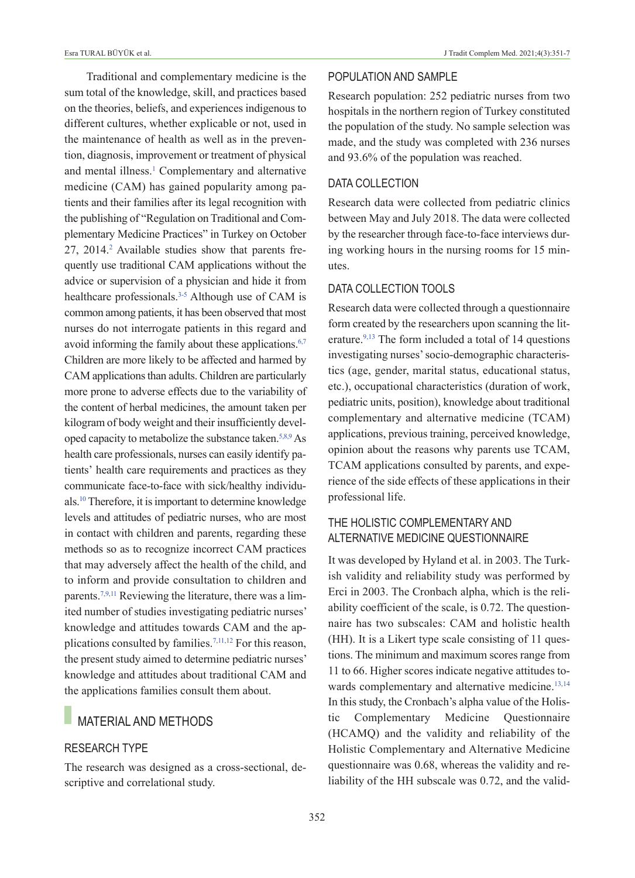Esra TURAL BÜYÜK et al. J Tradit Complem Med. 2021;4(3):351-7

Traditional and complementary medicine is the sum total of the knowledge, skill, and practices based on the theories, beliefs, and experiences indigenous to different cultures, whether explicable or not, used in the maintenance of health as well as in the prevention, diagnosis, improvement or treatment of physical and mental illness.<sup>1</sup> Complementary and alternative medicine (CAM) has gained popularity among patients and their families after its legal recognition with the publishing of "Regulation on Traditional and Complementary Medicine Practices" in Turkey on October 27, 2014.<sup>2</sup> Available studies show that parents frequently use traditional CAM applications without the advice or supervision of a physician and hide it from healthcare professionals.<sup>3-5</sup> Although use of CAM is common among patients, it has been observed that most nurses do not interrogate patients in this regard and avoid informing the family about these applications.<sup>6,7</sup> Children are more likely to be affected and harmed by CAM applications than adults. Children are particularly more prone to adverse effects due to the variability of the content of herbal medicines, the amount taken per kilogram of body weight and their insufficiently developed capacity to metabolize the substance taken[.5,8,9](#page-6-0) As health care professionals, nurses can easily identify patients' health care requirements and practices as they communicate face-to-face with sick/healthy individuals[.10](#page-6-0) Therefore, it is important to determine knowledge levels and attitudes of pediatric nurses, who are most in contact with children and parents, regarding these methods so as to recognize incorrect CAM practices that may adversely affect the health of the child, and to inform and provide consultation to children and parents[.7,9,11](#page-6-0) Reviewing the literature, there was a limited number of studies investigating pediatric nurses' knowledge and attitudes towards CAM and the applications consulted by families.<sup>7,11,12</sup> For this reason, the present study aimed to determine pediatric nurses' knowledge and attitudes about traditional CAM and the applications families consult them about.

# **MATERIAL AND METHODS**

#### RESEARCH TYpE

The research was designed as a cross-sectional, descriptive and correlational study.

### pOpuLATION AND SAMpLE

Research population: 252 pediatric nurses from two hospitals in the northern region of Turkey constituted the population of the study. No sample selection was made, and the study was completed with 236 nurses and 93.6% of the population was reached.

#### DATA COLLECTION

Research data were collected from pediatric clinics between May and July 2018. The data were collected by the researcher through face-to-face interviews during working hours in the nursing rooms for 15 minutes.

#### DATA COLLECTION TOOLS

Research data were collected through a questionnaire form created by the researchers upon scanning the literature.<sup>9,13</sup> The form included a total of 14 questions investigating nurses' socio-demographic characteristics (age, gender, marital status, educational status, etc.), occupational characteristics (duration of work, pediatric units, position), knowledge about traditional complementary and alternative medicine (TCAM) applications, previous training, perceived knowledge, opinion about the reasons why parents use TCAM, TCAM applications consulted by parents, and experience of the side effects of these applications in their professional life.

### THE HOLISTIC COMpLEMENTARY AND ALTERNATIvE MEDICINE QuESTIONNAIRE

It was developed by Hyland et al. in 2003. The Turkish validity and reliability study was performed by Erci in 2003. The Cronbach alpha, which is the reliability coefficient of the scale, is 0.72. The questionnaire has two subscales: CAM and holistic health (HH). It is a Likert type scale consisting of 11 questions. The minimum and maximum scores range from 11 to 66. Higher scores indicate negative attitudes towards complementary and alternative medicine.<sup>13,14</sup> In this study, the Cronbach's alpha value of the Holistic Complementary Medicine Questionnaire (HCAMQ) and the validity and reliability of the Holistic Complementary and Alternative Medicine questionnaire was 0.68, whereas the validity and reliability of the HH subscale was 0.72, and the valid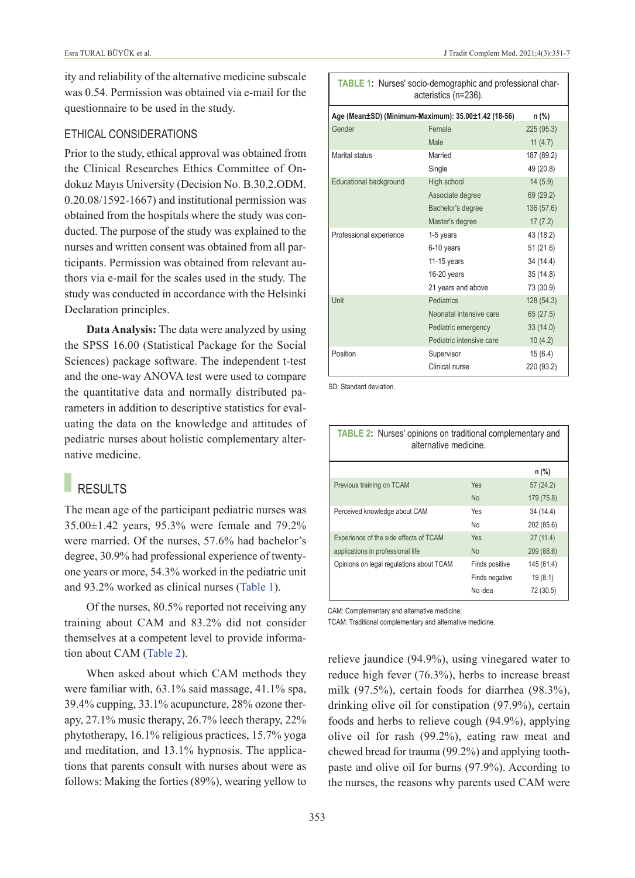ity and reliability of the alternative medicine subscale was 0.54. Permission was obtained via e-mail for the questionnaire to be used in the study.

#### ETHICAL CONSIDERATIONS

Prior to the study, ethical approval was obtained from the Clinical Researches Ethics Committee of Ondokuz Mayıs University (Decision No. B.30.2.ODM. 0.20.08/1592-1667) and institutional permission was obtained from the hospitals where the study was conducted. The purpose of the study was explained to the nurses and written consent was obtained from all participants. Permission was obtained from relevant authors via e-mail for the scales used in the study. The study was conducted in accordance with the Helsinki Declaration principles.

**Data Analysis:** The data were analyzed by using the SPSS 16.00 (Statistical Package for the Social Sciences) package software. The independent t-test and the one-way ANOVA test were used to compare the quantitative data and normally distributed parameters in addition to descriptive statistics for evaluating the data on the knowledge and attitudes of pediatric nurses about holistic complementary alternative medicine.

# RESULTS

The mean age of the participant pediatric nurses was 35.00±1.42 years, 95.3% were female and 79.2% were married. Of the nurses, 57.6% had bachelor's degree, 30.9% had professional experience of twentyone years or more, 54.3% worked in the pediatric unit and 93.2% worked as clinical nurses [\(Table 1\)](#page-2-0).

Of the nurses, 80.5% reported not receiving any training about CAM and 83.2% did not consider themselves at a competent level to provide information about CAM [\(Table 2\)](#page-2-1).

When asked about which CAM methods they were familiar with,  $63.1\%$  said massage,  $41.1\%$  spa, 39.4% cupping, 33.1% acupuncture, 28% ozone therapy, 27.1% music therapy, 26.7% leech therapy, 22% phytotherapy, 16.1% religious practices, 15.7% yoga and meditation, and 13.1% hypnosis. The applications that parents consult with nurses about were as follows: Making the forties (89%), wearing yellow to

<span id="page-2-0"></span>

| <b>TABLE 1:</b> Nurses' socio-demographic and professional char-<br>acteristics (n=236). |                          |            |  |  |
|------------------------------------------------------------------------------------------|--------------------------|------------|--|--|
| Age (Mean±SD) (Minimum-Maximum): 35.00±1.42 (18-56)<br>n (%)                             |                          |            |  |  |
| Gender                                                                                   | Female                   | 225(95.3)  |  |  |
|                                                                                          | Male                     | 11 $(4.7)$ |  |  |
| Marital status                                                                           | Married                  | 187 (89.2) |  |  |
|                                                                                          | Single                   | 49 (20.8)  |  |  |
| Educational background                                                                   | High school              | 14(5.9)    |  |  |
|                                                                                          | Associate degree         | 69 (29.2)  |  |  |
|                                                                                          | Bachelor's degree        | 136 (57.6) |  |  |
|                                                                                          | Master's degree          | 17(7.2)    |  |  |
| Professional experience                                                                  | 1-5 years                | 43 (18.2)  |  |  |
|                                                                                          | 6-10 years               | 51(21.6)   |  |  |
|                                                                                          | $11-15$ years            | 34 (14.4)  |  |  |
|                                                                                          | 16-20 years              | 35(14.8)   |  |  |
|                                                                                          | 21 years and above       | 73 (30.9)  |  |  |
| Unit                                                                                     | Pediatrics               | 128 (54.3) |  |  |
|                                                                                          | Neonatal intensive care  | 65(27.5)   |  |  |
|                                                                                          | Pediatric emergency      | 33(14.0)   |  |  |
|                                                                                          | Pediatric intensive care | 10(4.2)    |  |  |
| Position                                                                                 | Supervisor               | 15(6.4)    |  |  |
|                                                                                          | Clinical nurse           | 220 (93.2) |  |  |

SD: Standard deviation.

<span id="page-2-1"></span>

| <b>TABLE 2:</b> Nurses' opinions on traditional complementary and<br>alternative medicine. |                |            |  |
|--------------------------------------------------------------------------------------------|----------------|------------|--|
|                                                                                            |                | $n$ (%)    |  |
| Previous training on TCAM                                                                  | Yes            | 57 (24.2)  |  |
|                                                                                            | <b>No</b>      | 179 (75.8) |  |
| Perceived knowledge about CAM                                                              | Yes            | 34 (14.4)  |  |
|                                                                                            | No             | 202 (85.6) |  |
| Experience of the side effects of TCAM                                                     | Yes            | 27(11.4)   |  |
| applications in professional life                                                          | <b>No</b>      | 209 (88.6) |  |
| Opinions on legal regulations about TCAM                                                   | Finds positive | 145 (61.4) |  |
|                                                                                            | Finds negative | 19(8.1)    |  |
|                                                                                            | No idea        | 72 (30.5)  |  |

CAM: Complementary and alternative medicine;

TCAM: Traditional complementary and alternative medicine.

relieve jaundice (94.9%), using vinegared water to reduce high fever (76.3%), herbs to increase breast milk (97.5%), certain foods for diarrhea (98.3%), drinking olive oil for constipation (97.9%), certain foods and herbs to relieve cough (94.9%), applying olive oil for rash (99.2%), eating raw meat and chewed bread for trauma (99.2%) and applying toothpaste and olive oil for burns (97.9%). According to the nurses, the reasons why parents used CAM were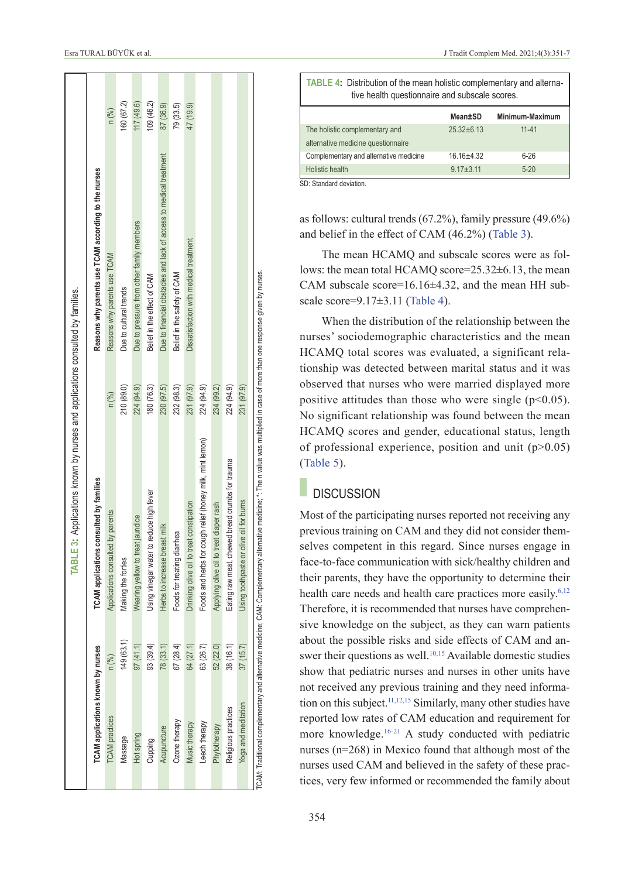|                                          |           | TABLE 3: Applications known by nurses and applications consulted by families.                                                                                                       |            |                                                                    |            |
|------------------------------------------|-----------|-------------------------------------------------------------------------------------------------------------------------------------------------------------------------------------|------------|--------------------------------------------------------------------|------------|
| <b>TCAM</b> applications known by nurses |           | TCAM applications consulted by families                                                                                                                                             |            | Reasons why parents use TCAM according to the nurses               |            |
| <b>TCAM</b> practices                    | n (%)     | Applications consulted by parents                                                                                                                                                   | n (%)      | Reasons why parents use TCAM                                       | n (%)      |
| Massage                                  | 149(63.1) | Making the forties                                                                                                                                                                  | 210 (89.0) | Due to cultural trends                                             | 160 (67.2) |
| Hot spring                               | 97(41.1)  | Wearing yellow to treat jaundice                                                                                                                                                    | 224 (94.9) | Due to pressure from other family members                          | 117 (49.6) |
| Cupping                                  | 93(39.4)  | Jsing vinegar water to reduce high fever                                                                                                                                            | 180 (76.3) | Belief in the effect of CAM                                        | 109 (46.2) |
| Acupuncture                              | 78(33.1)  | Herbs to increase breast milk                                                                                                                                                       | 230 (97.5) | Due to financial obstacles and lack of access to medical treatment | 87 (36.9)  |
| Ozone therapy                            | 67(28.4)  | Foods for treating diarrhea                                                                                                                                                         | 232 (98.3) | Belief in the safety of CAM                                        | 79(33.5)   |
| Music therapy                            | 64 (27.1) | to treat constipation<br>Drinking olive oil                                                                                                                                         | 231 (97.9) | Dissatisfaction with medical treatment                             | 47 (19.9)  |
| Leech therapy                            | 63 (26.7) | Foods and herbs for cough relief (honey milk, mint lemon)                                                                                                                           | 224 (94.9) |                                                                    |            |
| Phytotherapy                             | 52 (22.0) | to treat diaper rash<br>Applying olive oil                                                                                                                                          | 234 (99.2) |                                                                    |            |
| Religious practices                      | 38 (16.1) | chewed bread crumbs for trauma<br>Eating raw meat                                                                                                                                   | 224 (94.9) |                                                                    |            |
| Yoga and meditation                      | 37(15.7)  | or olive oil for burns<br>Jsing toothpaste                                                                                                                                          | 231 (97.9) |                                                                    |            |
|                                          |           | TCAM: Traditional complementary and alternative medicine; CAM: Complementary alternative medicine; *: The n value was multiplied in case of more than one response given by nurses. |            |                                                                    |            |

<span id="page-3-1"></span>

| TABLE 4: Distribution of the mean holistic complementary and alterna-<br>tive health questionnaire and subscale scores. |                |                 |  |  |
|-------------------------------------------------------------------------------------------------------------------------|----------------|-----------------|--|--|
|                                                                                                                         | Mean±SD        | Minimum-Maximum |  |  |
| The holistic complementary and                                                                                          | $25.32 + 6.13$ | $11 - 41$       |  |  |
| alternative medicine questionnaire                                                                                      |                |                 |  |  |
| Complementary and alternative medicine                                                                                  | $16.16 + 4.32$ | $6 - 26$        |  |  |
| Holistic health                                                                                                         | $9.17 + 3.11$  | $5 - 20$        |  |  |

SD: Standard deviation.

as follows: cultural trends (67.2%), family pressure (49.6%) and belief in the effect of CAM (46.2%) [\(Table 3\)](#page-3-0).

The mean HCAMQ and subscale scores were as follows: the mean total HCAMQ score=25.32±6.13, the mean CAM subscale score=16.16±4.32, and the mean HH sub-scale score=9.17±3.11 [\(Table 4\)](#page-3-1).

When the distribution of the relationship between the nurses' sociodemographic characteristics and the mean HCAMQ total scores was evaluated, a significant relationship was detected between marital status and it was observed that nurses who were married displayed more positive attitudes than those who were single  $(p<0.05)$ . No significant relationship was found between the mean HCAMQ scores and gender, educational status, length of professional experience, position and unit  $(p>0.05)$ [\(Table 5\)](#page-4-0).

## <span id="page-3-0"></span>**DISCUSSION**

Most of the participating nurses reported not receiving any previous training on CAM and they did not consider themselves competent in this regard. Since nurses engage in face-to-face communication with sick/healthy children and their parents, they have the opportunity to determine their health care needs and health care practices more easily.<sup>6,12</sup> Therefore, it is recommended that nurses have comprehensive knowledge on the subject, as they can warn patients about the possible risks and side effects of CAM and answer their questions as well.<sup>10,15</sup> Available domestic studies show that pediatric nurses and nurses in other units have not received any previous training and they need information on this subject.<sup>11,12,15</sup> Similarly, many other studies have reported low rates of CAM education and requirement for more knowledge[.16-21](#page-6-0) A study conducted with pediatric nurses (n=268) in Mexico found that although most of the nurses used CAM and believed in the safety of these practices, very few informed or recommended the family about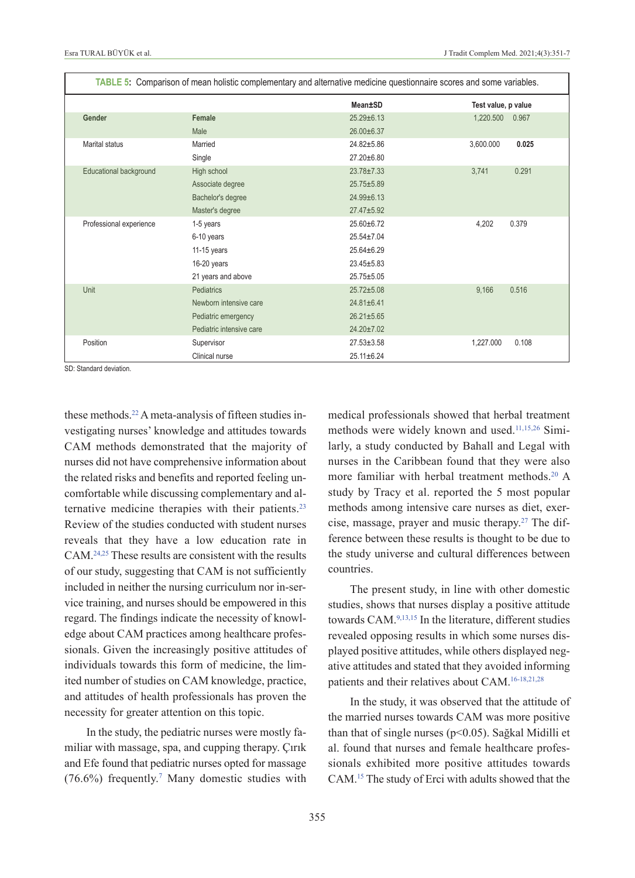|                         |                          | TABLE 5: Comparison of mean holistic complementary and alternative medicine questionnaire scores and some variables. |                     |
|-------------------------|--------------------------|----------------------------------------------------------------------------------------------------------------------|---------------------|
|                         |                          | Mean±SD                                                                                                              | Test value, p value |
| Gender                  | Female                   | $25.29 \pm 6.13$                                                                                                     | 1,220.500<br>0.967  |
|                         | Male                     | 26.00±6.37                                                                                                           |                     |
| Marital status          | Married                  | 24.82±5.86                                                                                                           | 3,600.000<br>0.025  |
|                         | Single                   | 27.20±6.80                                                                                                           |                     |
| Educational background  | High school              | $23.78 \pm 7.33$                                                                                                     | 0.291<br>3,741      |
|                         | Associate degree         | 25.75±5.89                                                                                                           |                     |
|                         | Bachelor's degree        | $24.99 \pm 6.13$                                                                                                     |                     |
|                         | Master's degree          | $27.47 + 5.92$                                                                                                       |                     |
| Professional experience | 1-5 years                | $25.60 + 6.72$                                                                                                       | 4,202<br>0.379      |
|                         | 6-10 years               | 25.54±7.04                                                                                                           |                     |
|                         | 11-15 years              | $25.64 \pm 6.29$                                                                                                     |                     |
|                         | 16-20 years              | $23.45 \pm 5.83$                                                                                                     |                     |
|                         | 21 years and above       | $25.75 \pm 5.05$                                                                                                     |                     |
| Unit                    | <b>Pediatrics</b>        | $25.72 \pm 5.08$                                                                                                     | 9,166<br>0.516      |
|                         | Newborn intensive care   | $24.81 \pm 6.41$                                                                                                     |                     |
|                         | Pediatric emergency      | $26.21 \pm 5.65$                                                                                                     |                     |
|                         | Pediatric intensive care | 24.20±7.02                                                                                                           |                     |
| Position                | Supervisor               | $27.53 \pm 3.58$                                                                                                     | 1,227.000<br>0.108  |
|                         | Clinical nurse           | 25.11±6.24                                                                                                           |                     |

SD: Standard deviation.

these methods[.22](#page-6-0) A meta-analysis of fifteen studies investigating nurses' knowledge and attitudes towards CAM methods demonstrated that the majority of nurses did not have comprehensive information about the related risks and benefits and reported feeling uncomfortable while discussing complementary and alternative medicine therapies with their patients.<sup>23</sup> Review of the studies conducted with student nurses reveals that they have a low education rate in CAM[.24,25](#page-6-0) These results are consistent with the results of our study, suggesting that CAM is not sufficiently included in neither the nursing curriculum nor in-service training, and nurses should be empowered in this regard. The findings indicate the necessity of knowledge about CAM practices among healthcare professionals. Given the increasingly positive attitudes of individuals towards this form of medicine, the limited number of studies on CAM knowledge, practice, and attitudes of health professionals has proven the necessity for greater attention on this topic.

In the study, the pediatric nurses were mostly familiar with massage, spa, and cupping therapy. Çırık and Efe found that pediatric nurses opted for massage  $(76.6\%)$  frequently.<sup>7</sup> Many domestic studies with <span id="page-4-0"></span>medical professionals showed that herbal treatment methods were widely known and used[.11,15,26](#page-6-0) Similarly, a study conducted by Bahall and Legal with nurses in the Caribbean found that they were also more familiar with herbal treatment methods[.20](#page-6-0) A study by Tracy et al. reported the 5 most popular methods among intensive care nurses as diet, exercise, massage, prayer and music therapy[.27](#page-6-0) The difference between these results is thought to be due to the study universe and cultural differences between countries.

The present study, in line with other domestic studies, shows that nurses display a positive attitude towards CAM[.9,13,15](#page-6-0) In the literature, different studies revealed opposing results in which some nurses displayed positive attitudes, while others displayed negative attitudes and stated that they avoided informing patients and their relatives about CAM[.16-18,21,28](#page-6-0)

In the study, it was observed that the attitude of the married nurses towards CAM was more positive than that of single nurses (p<0.05). Sağkal Midilli et al. found that nurses and female healthcare professionals exhibited more positive attitudes towards CAM[.15](#page-6-0) The study of Erci with adults showed that the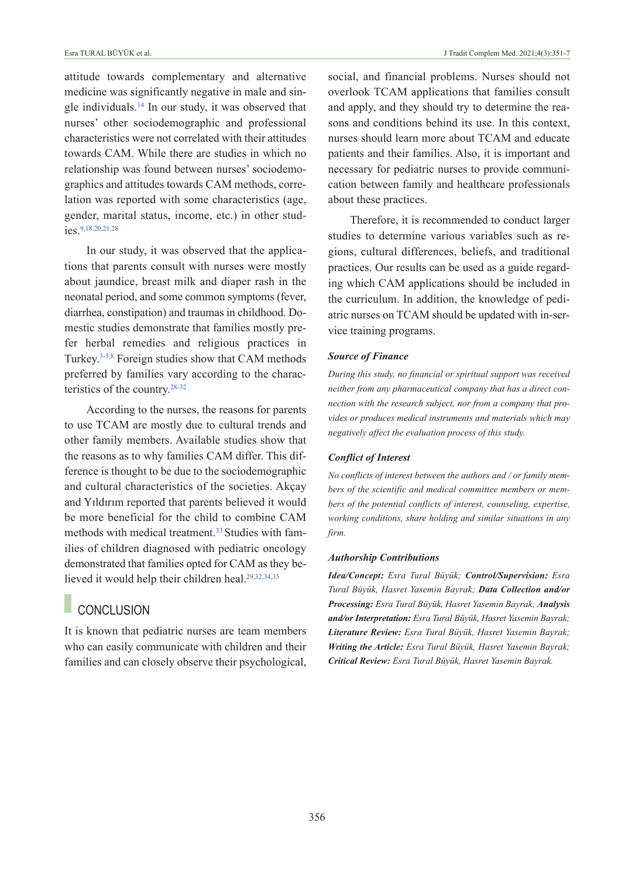attitude towards complementary and alternative medicine was significantly negative in male and single individuals[.14](#page-6-0) In our study, it was observed that nurses' other sociodemographic and professional characteristics were not correlated with their attitudes towards CAM. While there are studies in which no relationship was found between nurses' sociodemographics and attitudes towards CAM methods, correlation was reported with some characteristics (age, gender, marital status, income, etc.) in other studies[.9,18,20,21,28](#page-6-0)

In our study, it was observed that the applications that parents consult with nurses were mostly about jaundice, breast milk and diaper rash in the neonatal period, and some common symptoms (fever, diarrhea, constipation) and traumas in childhood. Domestic studies demonstrate that families mostly prefer herbal remedies and religious practices in Turkey[.3-5,8](#page-6-0) Foreign studies show that CAM methods preferred by families vary according to the characteristics of the country[.28-32](#page-6-0)

According to the nurses, the reasons for parents to use TCAM are mostly due to cultural trends and other family members. Available studies show that the reasons as to why families CAM differ. This difference is thought to be due to the sociodemographic and cultural characteristics of the societies. Akçay and Yıldırım reported that parents believed it would be more beneficial for the child to combine CAM methods with medical treatment.<sup>33</sup> Studies with families of children diagnosed with pediatric oncology demonstrated that families opted for CAM as they believed it would help their children heal[.29,32,34,35](#page-6-0)

# **CONCLUSION**

It is known that pediatric nurses are team members who can easily communicate with children and their families and can closely observe their psychological, social, and financial problems. Nurses should not overlook TCAM applications that families consult and apply, and they should try to determine the reasons and conditions behind its use. In this context, nurses should learn more about TCAM and educate patients and their families. Also, it is important and necessary for pediatric nurses to provide communication between family and healthcare professionals about these practices.

Therefore, it is recommended to conduct larger studies to determine various variables such as regions, cultural differences, beliefs, and traditional practices. Our results can be used as a guide regarding which CAM applications should be included in the curriculum. In addition, the knowledge of pediatric nurses on TCAM should be updated with in-service training programs.

#### *Source of Finance*

*During this study, no financial or spiritual support was received neither from any pharmaceutical company that has a direct connection with the research subject, nor from a company that provides or produces medical instruments and materials which may negatively affect the evaluation process of this study.* 

#### *Conflict of Interest*

*No conflicts of interest between the authors and / or family members of the scientific and medical committee members or members of the potential conflicts of interest, counseling, expertise, working conditions, share holding and similar situations in any firm.* 

#### *Authorship Contributions*

*Idea/Concept: Esra Tural Büyük; Control/Supervision: Esra Tural Büyük, Hasret Yasemin Bayrak; Data Collection and/or Processing: Esra Tural Büyük, Hasret Yasemin Bayrak; Analysis and/or Interpretation: Esra Tural Büyük, Hasret Yasemin Bayrak; Literature Review: Esra Tural Büyük, Hasret Yasemin Bayrak; Writing the Article: Esra Tural Büyük, Hasret Yasemin Bayrak; Critical Review: Esra Tural Büyük, Hasret Yasemin Bayrak.*